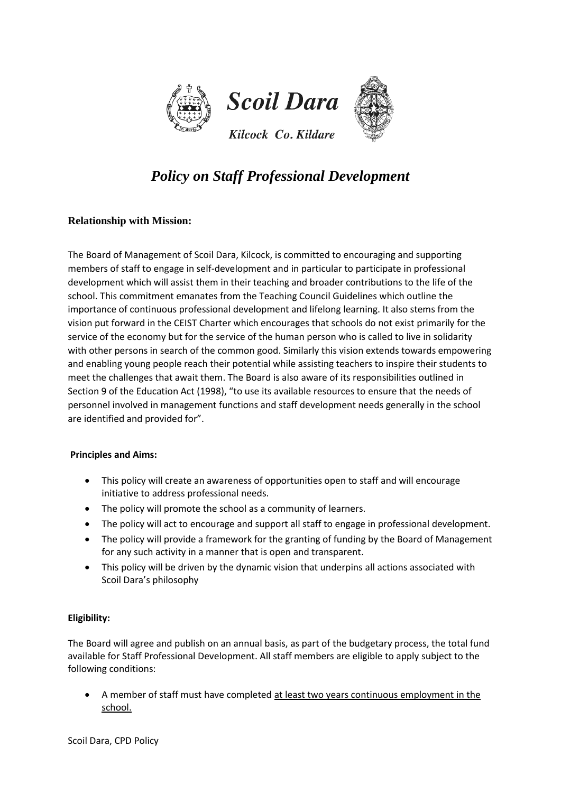

## *Policy on Staff Professional Development*

## **Relationship with Mission:**

The Board of Management of Scoil Dara, Kilcock, is committed to encouraging and supporting members of staff to engage in self-development and in particular to participate in professional development which will assist them in their teaching and broader contributions to the life of the school. This commitment emanates from the Teaching Council Guidelines which outline the importance of continuous professional development and lifelong learning. It also stems from the vision put forward in the CEIST Charter which encourages that schools do not exist primarily for the service of the economy but for the service of the human person who is called to live in solidarity with other persons in search of the common good. Similarly this vision extends towards empowering and enabling young people reach their potential while assisting teachers to inspire their students to meet the challenges that await them. The Board is also aware of its responsibilities outlined in Section 9 of the Education Act (1998), "to use its available resources to ensure that the needs of personnel involved in management functions and staff development needs generally in the school are identified and provided for".

#### **Principles and Aims:**

- This policy will create an awareness of opportunities open to staff and will encourage initiative to address professional needs.
- The policy will promote the school as a community of learners.
- The policy will act to encourage and support all staff to engage in professional development.
- The policy will provide a framework for the granting of funding by the Board of Management for any such activity in a manner that is open and transparent.
- This policy will be driven by the dynamic vision that underpins all actions associated with Scoil Dara's philosophy

## **Eligibility:**

The Board will agree and publish on an annual basis, as part of the budgetary process, the total fund available for Staff Professional Development. All staff members are eligible to apply subject to the following conditions:

 A member of staff must have completed at least two years continuous employment in the school.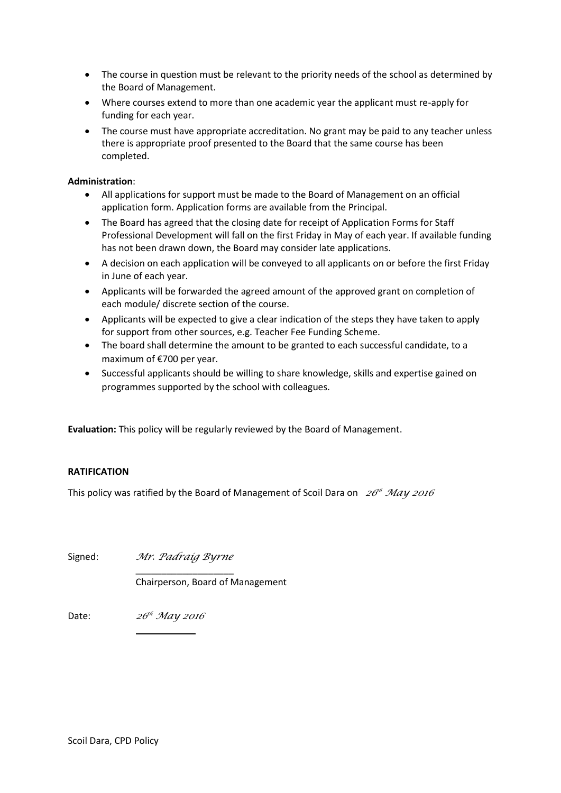- The course in question must be relevant to the priority needs of the school as determined by the Board of Management.
- Where courses extend to more than one academic year the applicant must re-apply for funding for each year.
- The course must have appropriate accreditation. No grant may be paid to any teacher unless there is appropriate proof presented to the Board that the same course has been completed.

### **Administration**:

- All applications for support must be made to the Board of Management on an official application form. Application forms are available from the Principal.
- The Board has agreed that the closing date for receipt of Application Forms for Staff Professional Development will fall on the first Friday in May of each year. If available funding has not been drawn down, the Board may consider late applications.
- A decision on each application will be conveyed to all applicants on or before the first Friday in June of each year.
- Applicants will be forwarded the agreed amount of the approved grant on completion of each module/ discrete section of the course.
- Applicants will be expected to give a clear indication of the steps they have taken to apply for support from other sources, e.g. Teacher Fee Funding Scheme.
- The board shall determine the amount to be granted to each successful candidate, to a maximum of €700 per year.
- Successful applicants should be willing to share knowledge, skills and expertise gained on programmes supported by the school with colleagues.

**Evaluation:** This policy will be regularly reviewed by the Board of Management.

### **RATIFICATION**

This policy was ratified by the Board of Management of Scoil Dara on *<sup>26</sup> th May 2016*

Signed: *Mr. Padraig Byrne*

Chairperson, Board of Management

\_\_\_\_\_\_\_\_\_\_\_\_\_\_\_\_\_\_\_

 $\overline{\phantom{a}}$ 

Date: *th May 2016*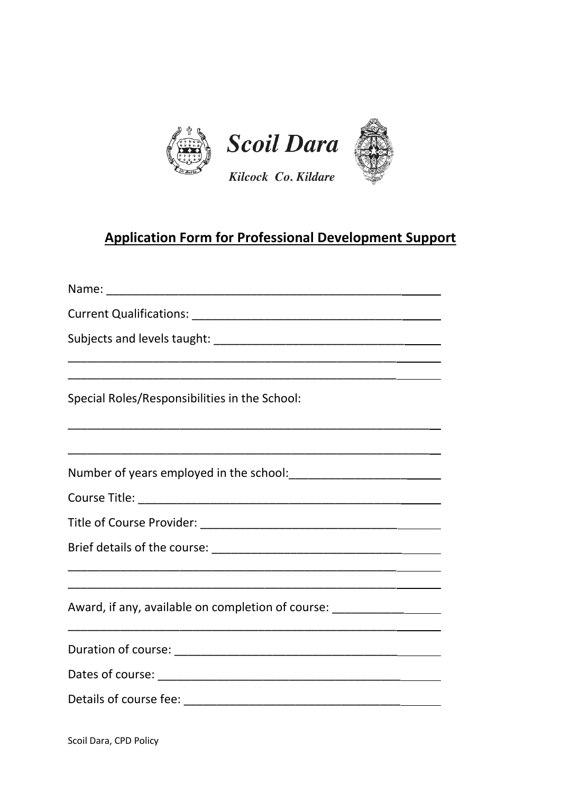

# **Application Form for Professional Development Support**

| Special Roles/Responsibilities in the School:                                    |
|----------------------------------------------------------------------------------|
|                                                                                  |
|                                                                                  |
|                                                                                  |
|                                                                                  |
|                                                                                  |
|                                                                                  |
| Award, if any, available on completion of course: ______________________________ |
|                                                                                  |
|                                                                                  |
|                                                                                  |

Scoil Dara, CPD Policy